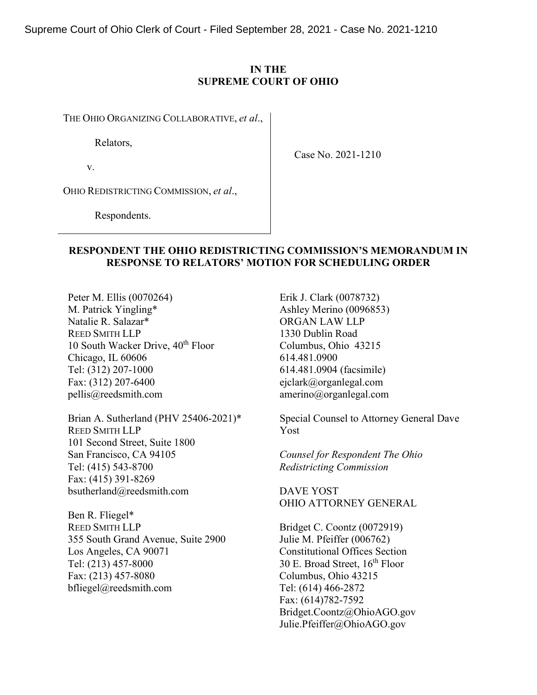Supreme Court of Ohio Clerk of Court - Filed September 28, 2021 - Case No. 2021-1210

## **IN THE SUPREME COURT OF OHIO**

THE OHIO ORGANIZING COLLABORATIVE, *et al*.,

Relators,

v.

Case No. 2021-1210

OHIO REDISTRICTING COMMISSION, *et al*.,

Respondents.

## **RESPONDENT THE OHIO REDISTRICTING COMMISSION'S MEMORANDUM IN RESPONSE TO RELATORS' MOTION FOR SCHEDULING ORDER**

Peter M. Ellis (0070264) M. Patrick Yingling\* Natalie R. Salazar\* REED SMITH LLP 10 South Wacker Drive, 40<sup>th</sup> Floor Chicago, IL 60606 Tel: (312) 207-1000 Fax: (312) 207-6400 pellis@reedsmith.com

Brian A. Sutherland (PHV 25406-2021)\* REED SMITH LLP 101 Second Street, Suite 1800 San Francisco, CA 94105 Tel: (415) 543-8700 Fax: (415) 391-8269 bsutherland@reedsmith.com

Ben R. Fliegel\* REED SMITH LLP 355 South Grand Avenue, Suite 2900 Los Angeles, CA 90071 Tel: (213) 457-8000 Fax: (213) 457-8080 bfliegel@reedsmith.com

Erik J. Clark (0078732) Ashley Merino (0096853) ORGAN LAW LLP 1330 Dublin Road Columbus, Ohio 43215 614.481.0900 614.481.0904 (facsimile) ejclark@organlegal.com amerino@organlegal.com

Special Counsel to Attorney General Dave Yost

*Counsel for Respondent The Ohio Redistricting Commission*

DAVE YOST OHIO ATTORNEY GENERAL

Bridget C. Coontz (0072919) Julie M. Pfeiffer (006762) Constitutional Offices Section 30 E. Broad Street,  $16<sup>th</sup>$  Floor Columbus, Ohio 43215 Tel: (614) 466-2872 Fax: (614)782-7592 Bridget.Coontz@OhioAGO.gov Julie.Pfeiffer@OhioAGO.gov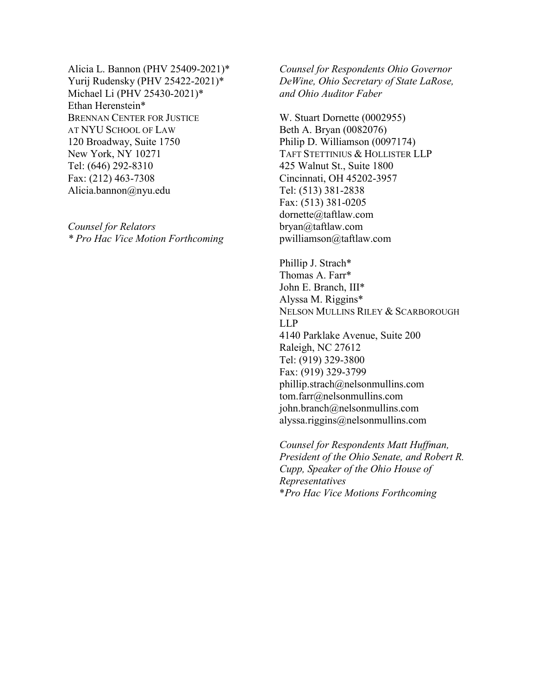Alicia L. Bannon (PHV 25409-2021)\* Yurij Rudensky (PHV 25422-2021)\* Michael Li (PHV 25430-2021)\* Ethan Herenstein\* BRENNAN CENTER FOR JUSTICE AT NYU SCHOOL OF LAW 120 Broadway, Suite 1750 New York, NY 10271 Tel: (646) 292-8310 Fax: (212) 463-7308 Alicia.bannon@nyu.edu

*Counsel for Relators \* Pro Hac Vice Motion Forthcoming* *Counsel for Respondents Ohio Governor DeWine, Ohio Secretary of State LaRose, and Ohio Auditor Faber*

W. Stuart Dornette (0002955) Beth A. Bryan (0082076) Philip D. Williamson (0097174) TAFT STETTINIUS & HOLLISTER LLP 425 Walnut St., Suite 1800 Cincinnati, OH 45202-3957 Tel: (513) 381-2838 Fax: (513) 381-0205 dornette@taftlaw.com bryan@taftlaw.com pwilliamson@taftlaw.com

Phillip J. Strach\* Thomas A. Farr\* John E. Branch, III\* Alyssa M. Riggins\* NELSON MULLINS RILEY & SCARBOROUGH LLP 4140 Parklake Avenue, Suite 200 Raleigh, NC 27612 Tel: (919) 329-3800 Fax: (919) 329-3799 phillip.strach@nelsonmullins.com tom.farr@nelsonmullins.com john.branch@nelsonmullins.com alyssa.riggins@nelsonmullins.com

*Counsel for Respondents Matt Huffman, President of the Ohio Senate, and Robert R. Cupp, Speaker of the Ohio House of Representatives*  \**Pro Hac Vice Motions Forthcoming*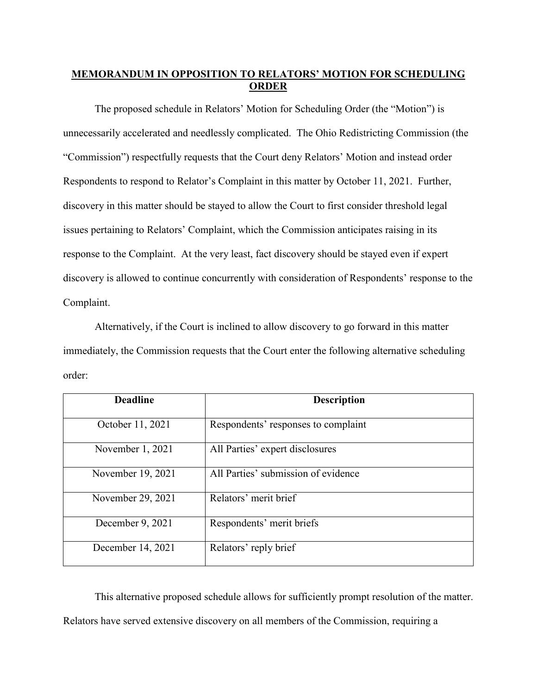# **MEMORANDUM IN OPPOSITION TO RELATORS' MOTION FOR SCHEDULING ORDER**

The proposed schedule in Relators' Motion for Scheduling Order (the "Motion") is unnecessarily accelerated and needlessly complicated. The Ohio Redistricting Commission (the "Commission") respectfully requests that the Court deny Relators' Motion and instead order Respondents to respond to Relator's Complaint in this matter by October 11, 2021. Further, discovery in this matter should be stayed to allow the Court to first consider threshold legal issues pertaining to Relators' Complaint, which the Commission anticipates raising in its response to the Complaint. At the very least, fact discovery should be stayed even if expert discovery is allowed to continue concurrently with consideration of Respondents' response to the Complaint.

Alternatively, if the Court is inclined to allow discovery to go forward in this matter immediately, the Commission requests that the Court enter the following alternative scheduling order:

| <b>Deadline</b>   | <b>Description</b>                  |
|-------------------|-------------------------------------|
| October 11, 2021  | Respondents' responses to complaint |
| November 1, 2021  | All Parties' expert disclosures     |
| November 19, 2021 | All Parties' submission of evidence |
| November 29, 2021 | Relators' merit brief               |
| December 9, 2021  | Respondents' merit briefs           |
| December 14, 2021 | Relators' reply brief               |

This alternative proposed schedule allows for sufficiently prompt resolution of the matter. Relators have served extensive discovery on all members of the Commission, requiring a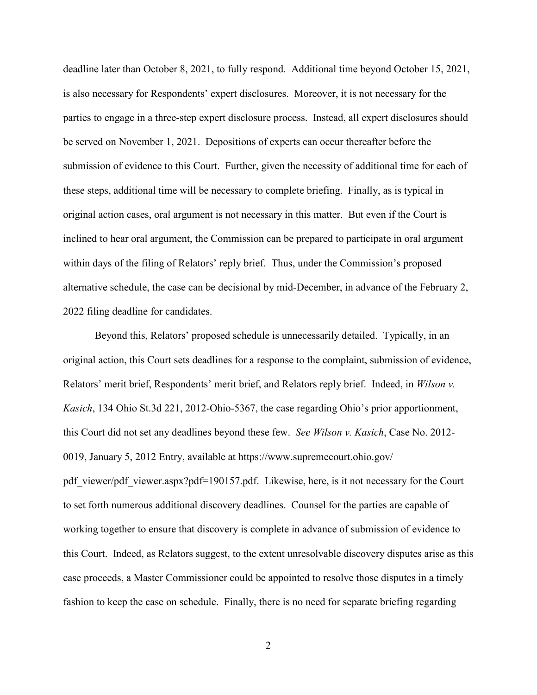deadline later than October 8, 2021, to fully respond. Additional time beyond October 15, 2021, is also necessary for Respondents' expert disclosures. Moreover, it is not necessary for the parties to engage in a three-step expert disclosure process. Instead, all expert disclosures should be served on November 1, 2021. Depositions of experts can occur thereafter before the submission of evidence to this Court. Further, given the necessity of additional time for each of these steps, additional time will be necessary to complete briefing. Finally, as is typical in original action cases, oral argument is not necessary in this matter. But even if the Court is inclined to hear oral argument, the Commission can be prepared to participate in oral argument within days of the filing of Relators' reply brief. Thus, under the Commission's proposed alternative schedule, the case can be decisional by mid-December, in advance of the February 2, 2022 filing deadline for candidates.

Beyond this, Relators' proposed schedule is unnecessarily detailed. Typically, in an original action, this Court sets deadlines for a response to the complaint, submission of evidence, Relators' merit brief, Respondents' merit brief, and Relators reply brief. Indeed, in *Wilson v. Kasich*, 134 Ohio St.3d 221, 2012-Ohio-5367, the case regarding Ohio's prior apportionment, this Court did not set any deadlines beyond these few. *See Wilson v. Kasich*, Case No. 2012- 0019, January 5, 2012 Entry, available at https://www.supremecourt.ohio.gov/ pdf viewer/pdf viewer.aspx?pdf=190157.pdf. Likewise, here, is it not necessary for the Court to set forth numerous additional discovery deadlines. Counsel for the parties are capable of working together to ensure that discovery is complete in advance of submission of evidence to this Court. Indeed, as Relators suggest, to the extent unresolvable discovery disputes arise as this case proceeds, a Master Commissioner could be appointed to resolve those disputes in a timely fashion to keep the case on schedule. Finally, there is no need for separate briefing regarding

2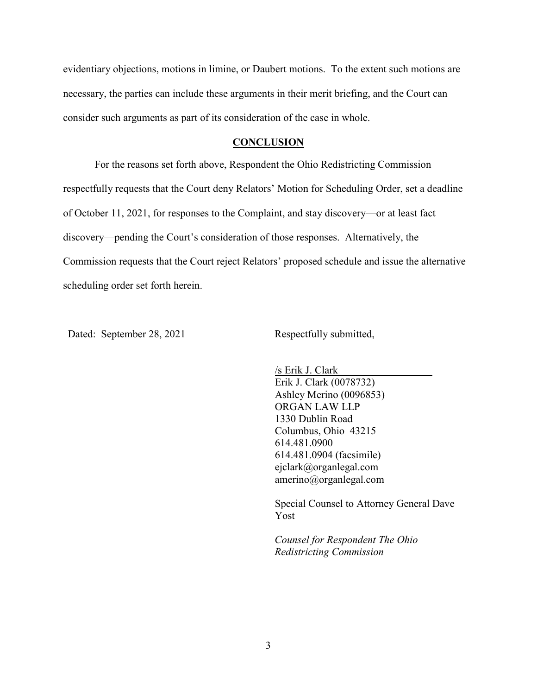evidentiary objections, motions in limine, or Daubert motions. To the extent such motions are necessary, the parties can include these arguments in their merit briefing, and the Court can consider such arguments as part of its consideration of the case in whole.

#### **CONCLUSION**

For the reasons set forth above, Respondent the Ohio Redistricting Commission respectfully requests that the Court deny Relators' Motion for Scheduling Order, set a deadline of October 11, 2021, for responses to the Complaint, and stay discovery—or at least fact discovery—pending the Court's consideration of those responses. Alternatively, the Commission requests that the Court reject Relators' proposed schedule and issue the alternative scheduling order set forth herein.

Dated: September 28, 2021 Respectfully submitted,

/s Erik J. Clark Erik J. Clark (0078732) Ashley Merino (0096853) ORGAN LAW LLP 1330 Dublin Road Columbus, Ohio 43215 614.481.0900 614.481.0904 (facsimile) ejclark@organlegal.com amerino@organlegal.com

Special Counsel to Attorney General Dave Yost

*Counsel for Respondent The Ohio Redistricting Commission*